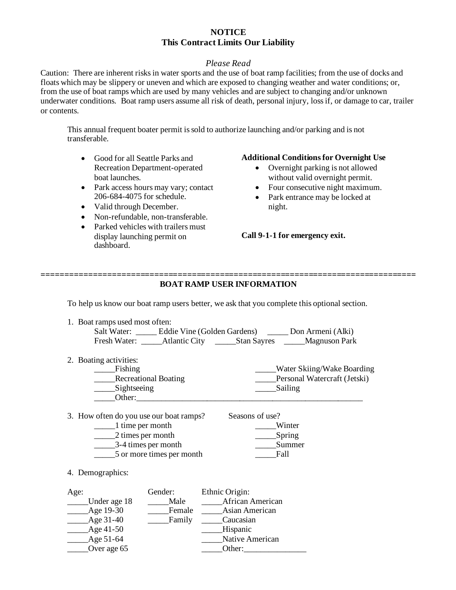## **NOTICE This Contract Limits Our Liability**

### *Please Read*

Caution: There are inherent risks in water sports and the use of boat ramp facilities; from the use of docks and floats which may be slippery or uneven and which are exposed to changing weather and water conditions; or, from the use of boat ramps which are used by many vehicles and are subject to changing and/or unknown underwater conditions. Boat ramp users assume all risk of death, personal injury, loss if, or damage to car, trailer or contents.

This annual frequent boater permit is sold to authorize launching and/or parking and is not transferable.

- Good for all Seattle Parks and Recreation Department-operated boat launches.
- Park access hours may vary; contact 206-684-4075 for schedule.
- Valid through December.
- Non-refundable, non-transferable.
- Parked vehicles with trailers must display launching permit on dashboard.

#### **Additional Conditions for Overnight Use**

- Overnight parking is not allowed without valid overnight permit.
- Four consecutive night maximum.
- Park entrance may be locked at night.

**Call 9-1-1 for emergency exit.**

#### **================================================================================ BOAT RAMP USER INFORMATION**

To help us know our boat ramp users better, we ask that you complete this optional section.

1. Boat ramps used most often:

| Salt Water:  | Eddie Vine (Golden Gardens) |             | Don Armeni (Alki)   |
|--------------|-----------------------------|-------------|---------------------|
| Fresh Water: | Atlantic City               | Stan Sayres | ______Magnuson Park |

2. Boating activities:

| <b>Fishing</b>              | <b>Water Skiing/Wake Boarding</b> |
|-----------------------------|-----------------------------------|
| <b>Recreational Boating</b> | Personal Watercraft (Jetski)      |
| Sightseeing                 | Sailing                           |
| Other:                      |                                   |

Seasons of use?

3. How often do you use our boat ramps?

| 1 time per month          | Winter |
|---------------------------|--------|
| 2 times per month         | Spring |
| 3-4 times per month       | Summer |
| 5 or more times per month | Fall   |
|                           |        |

4. Demographics:

| Age:         | Gender: | Ethnic Origin:   |
|--------------|---------|------------------|
| Under age 18 | Male    | African American |
| Age 19-30    | Female  | Asian American   |
| Age 31-40    | Family  | Caucasian        |
| Age 41-50    |         | Hispanic         |
| Age 51-64    |         | Native American  |
| Over age 65  |         | Other:           |